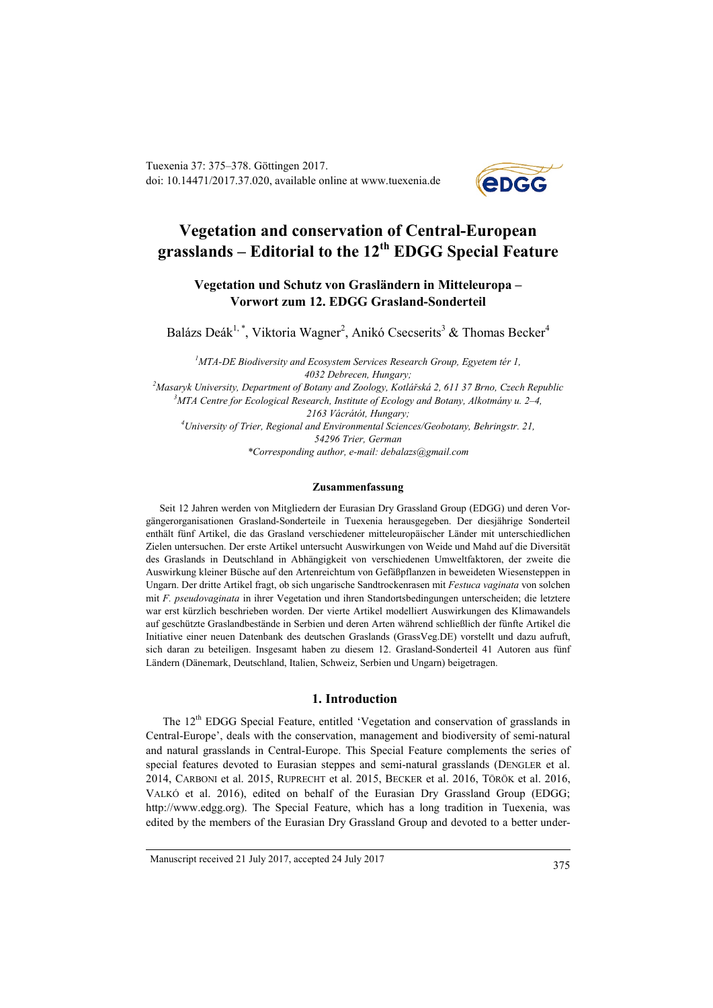Tuexenia 37: 375–378. Göttingen 2017. doi: 10.14471/2017.37.020, available online a[t www.tuexenia.de](http://www.tuexenia.de/)



# **Vegetation and conservation of Central-European grasslands – Editorial to the 12th EDGG Special Feature**

## **Vegetation und Schutz von Grasländern in Mitteleuropa – Vorwort zum 12. EDGG Grasland-Sonderteil**

Balázs Deák<sup>1,\*</sup>, Viktoria Wagner<sup>2</sup>, Anikó Csecserits<sup>3</sup> & Thomas Becker<sup>4</sup>

*1 MTA-DE Biodiversity and Ecosystem Services Research Group, Egyetem tér 1, 4032 Debrecen, Hungary;*

*2 Masaryk University, Department of Botany and Zoology, Kotlářská 2, 611 37 Brno, Czech Republic 3 MTA Centre for Ecological Research, Institute of Ecology and Botany, Alkotmány u. 2–4, 2163 Vácrátót, Hungary; 4 University of Trier, Regional and Environmental Sciences/Geobotany, Behringstr. 21, 54296 Trier, German \*Corresponding author, e-mail: debalazs@gmail.com*

#### **Zusammenfassung**

Seit 12 Jahren werden von Mitgliedern der Eurasian Dry Grassland Group (EDGG) und deren Vorgängerorganisationen Grasland-Sonderteile in Tuexenia herausgegeben. Der diesjährige Sonderteil enthält fünf Artikel, die das Grasland verschiedener mitteleuropäischer Länder mit unterschiedlichen Zielen untersuchen. Der erste Artikel untersucht Auswirkungen von Weide und Mahd auf die Diversität des Graslands in Deutschland in Abhängigkeit von verschiedenen Umweltfaktoren, der zweite die Auswirkung kleiner Büsche auf den Artenreichtum von Gefäßpflanzen in beweideten Wiesensteppen in Ungarn. Der dritte Artikel fragt, ob sich ungarische Sandtrockenrasen mit *Festuca vaginata* von solchen mit *F. pseudovaginata* in ihrer Vegetation und ihren Standortsbedingungen unterscheiden; die letztere war erst kürzlich beschrieben worden. Der vierte Artikel modelliert Auswirkungen des Klimawandels auf geschützte Graslandbestände in Serbien und deren Arten während schließlich der fünfte Artikel die Initiative einer neuen Datenbank des deutschen Graslands (GrassVeg.DE) vorstellt und dazu aufruft, sich daran zu beteiligen. Insgesamt haben zu diesem 12. Grasland-Sonderteil 41 Autoren aus fünf Ländern (Dänemark, Deutschland, Italien, Schweiz, Serbien und Ungarn) beigetragen.

#### **1. Introduction**

The 12<sup>th</sup> EDGG Special Feature, entitled 'Vegetation and conservation of grasslands in Central-Europe', deals with the conservation, management and biodiversity of semi-natural and natural grasslands in Central-Europe. This Special Feature complements the series of special features devoted to Eurasian steppes and semi-natural grasslands (DENGLER et al. 2014, CARBONI et al. 2015, RUPRECHT et al. 2015, BECKER et al. 2016, TÖRÖK et al. 2016, VALKÓ et al. 2016), edited on behalf of the Eurasian Dry Grassland Group (EDGG; http://www.edgg.org). The Special Feature, which has a long tradition in Tuexenia, was edited by the members of the Eurasian Dry Grassland Group and devoted to a better under-

Manuscript received 21 July 2017, accepted 24 July 2017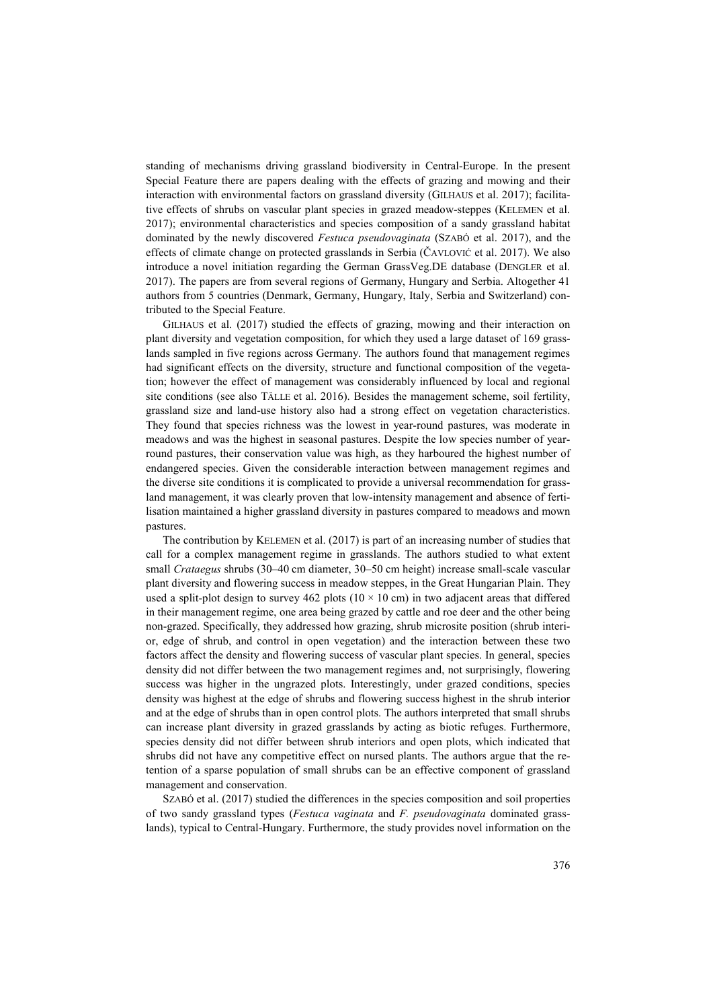standing of mechanisms driving grassland biodiversity in Central-Europe. In the present Special Feature there are papers dealing with the effects of grazing and mowing and their interaction with environmental factors on grassland diversity (GILHAUS et al. 2017); facilitative effects of shrubs on vascular plant species in grazed meadow-steppes (KELEMEN et al. 2017); environmental characteristics and species composition of a sandy grassland habitat dominated by the newly discovered *Festuca pseudovaginata* (SZABÓ et al. 2017), and the effects of climate change on protected grasslands in Serbia (ČAVLOVIĆ et al. 2017). We also introduce a novel initiation regarding the German GrassVeg.DE database (DENGLER et al. 2017). The papers are from several regions of Germany, Hungary and Serbia. Altogether 41 authors from 5 countries (Denmark, Germany, Hungary, Italy, Serbia and Switzerland) contributed to the Special Feature.

GILHAUS et al. (2017) studied the effects of grazing, mowing and their interaction on plant diversity and vegetation composition, for which they used a large dataset of 169 grasslands sampled in five regions across Germany. The authors found that management regimes had significant effects on the diversity, structure and functional composition of the vegetation; however the effect of management was considerably influenced by local and regional site conditions (see also TÄLLE et al. 2016). Besides the management scheme, soil fertility, grassland size and land-use history also had a strong effect on vegetation characteristics. They found that species richness was the lowest in year-round pastures, was moderate in meadows and was the highest in seasonal pastures. Despite the low species number of yearround pastures, their conservation value was high, as they harboured the highest number of endangered species. Given the considerable interaction between management regimes and the diverse site conditions it is complicated to provide a universal recommendation for grassland management, it was clearly proven that low-intensity management and absence of fertilisation maintained a higher grassland diversity in pastures compared to meadows and mown pastures.

The contribution by KELEMEN et al. (2017) is part of an increasing number of studies that call for a complex management regime in grasslands. The authors studied to what extent small *Crataegus* shrubs (30–40 cm diameter, 30–50 cm height) increase small-scale vascular plant diversity and flowering success in meadow steppes, in the Great Hungarian Plain. They used a split-plot design to survey 462 plots ( $10 \times 10$  cm) in two adjacent areas that differed in their management regime, one area being grazed by cattle and roe deer and the other being non-grazed. Specifically, they addressed how grazing, shrub microsite position (shrub interior, edge of shrub, and control in open vegetation) and the interaction between these two factors affect the density and flowering success of vascular plant species. In general, species density did not differ between the two management regimes and, not surprisingly, flowering success was higher in the ungrazed plots. Interestingly, under grazed conditions, species density was highest at the edge of shrubs and flowering success highest in the shrub interior and at the edge of shrubs than in open control plots. The authors interpreted that small shrubs can increase plant diversity in grazed grasslands by acting as biotic refuges. Furthermore, species density did not differ between shrub interiors and open plots, which indicated that shrubs did not have any competitive effect on nursed plants. The authors argue that the retention of a sparse population of small shrubs can be an effective component of grassland management and conservation.

SZABÓ et al. (2017) studied the differences in the species composition and soil properties of two sandy grassland types (*Festuca vaginata* and *F. pseudovaginata* dominated grasslands), typical to Central-Hungary. Furthermore, the study provides novel information on the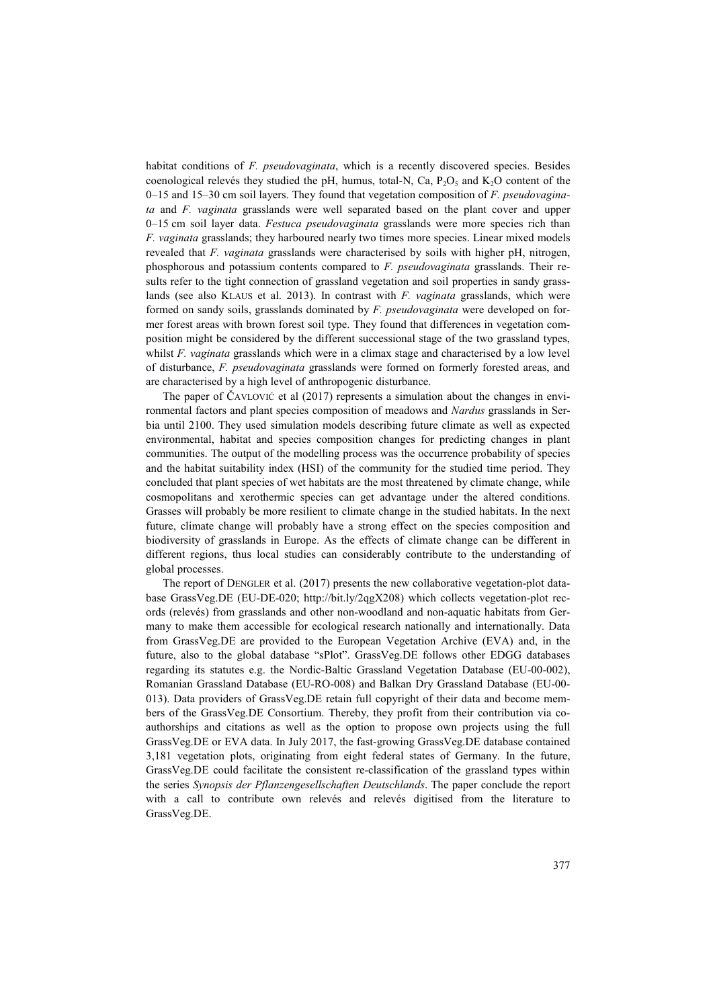habitat conditions of *F. pseudovaginata*, which is a recently discovered species. Besides coenological relevés they studied the pH, humus, total-N, Ca,  $P_2O_5$  and  $K_2O$  content of the 0–15 and 15–30 cm soil layers. They found that vegetation composition of *F. pseudovaginata* and *F. vaginata* grasslands were well separated based on the plant cover and upper 0–15 cm soil layer data. *Festuca pseudovaginata* grasslands were more species rich than *F. vaginata* grasslands; they harboured nearly two times more species. Linear mixed models revealed that *F. vaginata* grasslands were characterised by soils with higher pH, nitrogen, phosphorous and potassium contents compared to *F. pseudovaginata* grasslands. Their results refer to the tight connection of grassland vegetation and soil properties in sandy grasslands (see also KLAUS et al. 2013). In contrast with *F. vaginata* grasslands, which were formed on sandy soils, grasslands dominated by *F. pseudovaginata* were developed on former forest areas with brown forest soil type. They found that differences in vegetation composition might be considered by the different successional stage of the two grassland types, whilst *F. vaginata* grasslands which were in a climax stage and characterised by a low level of disturbance, *F. pseudovaginata* grasslands were formed on formerly forested areas, and are characterised by a high level of anthropogenic disturbance.

The paper of ČAVLOVIĆ et al (2017) represents a simulation about the changes in environmental factors and plant species composition of meadows and *Nardus* grasslands in Serbia until 2100. They used simulation models describing future climate as well as expected environmental, habitat and species composition changes for predicting changes in plant communities. The output of the modelling process was the occurrence probability of species and the habitat suitability index (HSI) of the community for the studied time period. They concluded that plant species of wet habitats are the most threatened by climate change, while cosmopolitans and xerothermic species can get advantage under the altered conditions. Grasses will probably be more resilient to climate change in the studied habitats. In the next future, climate change will probably have a strong effect on the species composition and biodiversity of grasslands in Europe. As the effects of climate change can be different in different regions, thus local studies can considerably contribute to the understanding of global processes.

The report of DENGLER et al. (2017) presents the new collaborative vegetation-plot database GrassVeg.DE (EU-DE-020; http://bit.ly/2qgX208) which collects vegetation-plot records (relevés) from grasslands and other non-woodland and non-aquatic habitats from Germany to make them accessible for ecological research nationally and internationally. Data from GrassVeg.DE are provided to the European Vegetation Archive (EVA) and, in the future, also to the global database "sPlot". GrassVeg.DE follows other EDGG databases regarding its statutes e.g. the Nordic-Baltic Grassland Vegetation Database (EU-00-002), Romanian Grassland Database (EU-RO-008) and Balkan Dry Grassland Database (EU-00- 013). Data providers of GrassVeg.DE retain full copyright of their data and become members of the GrassVeg.DE Consortium. Thereby, they profit from their contribution via coauthorships and citations as well as the option to propose own projects using the full GrassVeg.DE or EVA data. In July 2017, the fast-growing GrassVeg.DE database contained 3,181 vegetation plots, originating from eight federal states of Germany. In the future, GrassVeg.DE could facilitate the consistent re-classification of the grassland types within the series *Synopsis der Pflanzengesellschaften Deutschlands*. The paper conclude the report with a call to contribute own relevés and relevés digitised from the literature to GrassVeg.DE.